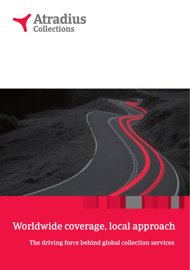



## Worldwide coverage, local approach

The driving force behind global collection services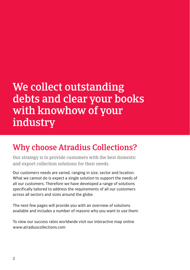## We collect outstanding debts and clear your books with knowhow of your industry

### Why choose Atradius Collections?

Our strategy is to provide customers with the best domestic and export collection solutions for their needs.

Our customers needs are varied, ranging in size, sector and location. What we cannot do is expect a single solution to support the needs of all our customers. Therefore we have developed a range of solutions specifically tailored to address the requirements of all our customers across all sectors and sizes around the globe.

The next few pages will provide you with an overview of solutions available and includes a number of reasons why you want to use them.

To view our success rates worldwide visit our interactive map online www.atradiuscollections.com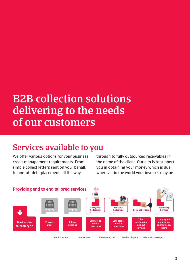# B2B collection solutions delivering to the needs of our customers

### Services available to you

We offer various options for your business credit management requirements. From simple collect letters sent on your behalf, to one-off debt placement, all the way

through to fully outsourced receivables in the name of the client. Our aim is to support you in obtaining your money which is due, wherever in the world your invoices may be.

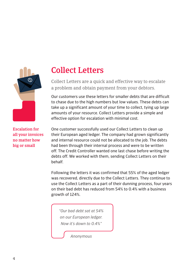

### Collect Letters

Collect Letters are a quick and effective way to escalate a problem and obtain payment from your debtors.

Our customers use these letters for smaller debts that are difficult to chase due to the high numbers but low values. These debts can take up a significant amount of your time to collect, tying up large amounts of your resource. Collect Letters provide a simple and effective option for escalation with minimal cost.

Escalation for all your invoices no matter how big or small

One customer successfully used our Collect Letters to clean up their European aged ledger. The company had grown significantly and internal resource could not be allocated to the job. The debts had been through their internal process and were to be written off. The Credit Controller wanted one last chase before writing the debts off. We worked with them, sending Collect Letters on their behalf.

Following the letters it was confirmed that 55% of the aged ledger was recovered, directly due to the Collect Letters. They continue to use the Collect Letters as a part of their dunning process, four years on their bad debt has reduced from 54% to 0.4% with a business growth of 124%.

*"Our bad debt sat at 54% on our European ledger. Now it's down to 0.4%"*

*Anonymous*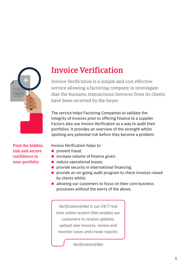

### Invoice Verification

Invoice Verification is a simple and cost effective service allowing a factoring company to investigate that the business transactions/invoices from its clients have been received by the buyer.

The service helps Factoring Companies to validate the integrity of invoices prior to offering finance to a supplier. Factors also use Invoice Verification as a way to audit their portfolios. It provides an overview of the strength whilst spotting any potential risk before they become a problem.

Find the hidden risk and secure confidence in your portfolio

Invoice Verification helps to:

- $\blacksquare$  prevent fraud;
- $\blacksquare$  increase volume of finance given:
- educe operational losses:
- $\blacksquare$  provide security in international financing:
- **provide an on-going audit program to check invoices raised** by clients whilst;
- allowing our customers to focus on their core business processes without the worry of the above.

*Verification@Net is our 24/7 real time online system that enables our customers to receive updates, upload new invoices, review and monitor cases and create reports.* 

*Verification@Net*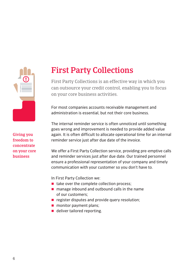

## First Party Collections

First Party Collections is an effective way in which you can outsource your credit control, enabling you to focus on your core business activities.

For most companies accounts receivable management and administration is essential, but not their core business.

The internal reminder service is often unnoticed until something goes wrong and improvement is needed to provide added value again. It is often difficult to allocate operational time for an internal reminder service just after due date of the invoice.

We offer a First Party Collection service, providing pre-emptive calls and reminder services just after due date. Our trained personnel ensure a professional representation of your company and timely communication with your customer so you don't have to.

In First Party Collection we:

- $\blacksquare$  take over the complete collection process;
- $\blacksquare$  manage inbound and outbound calls in the name of our customers;
- $\blacksquare$  register disputes and provide query resolution;
- **n** monitor payment plans;
- deliver tailored reporting.

Giving you freedom to concentrate on your core business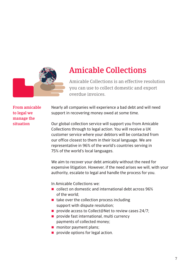

#### Amicable Collections

Amicable Collections is an effective resolution you can use to collect domestic and export overdue invoices.

From amicable to legal we manage the situation

Nearly all companies will experience a bad debt and will need support in recovering money owed at some time.

Our global collection service will support you from Amicable Collections through to legal action. You will receive a UK customer service where your debtors will be contacted from our office closest to them in their local language. We are representative in 96% of the world's countries serving in 75% of the world's local languages.

We aim to recover your debt amicably without the need for expensive litigation. However, if the need arises we will, with your authority, escalate to legal and handle the process for you.

In Amicable Collections we:

- **E** collect on domestic and international debt across 96% of the world;
- $\blacksquare$  take over the collection process including support with dispute resolution;
- provide access to Collect@Net to review cases 24/7;
- provide fast international, multi currency payments of collected money;
- $\blacksquare$  monitor payment plans;
- **provide options for legal action.**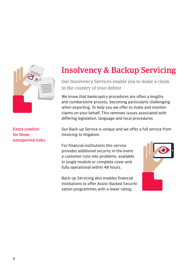

Extra comfort for those unexpected risks

## Insolvency & Backup Servicing

Our Insolvency Services enable you to make a claim in the country of your debtor.

We know that bankruptcy procedures are often a lengthy and cumbersome process, becoming particularly challenging when exporting. To help you we offer to make and monitor claims on your behalf. This removes issues associated with differing legislation, language and local procedures.

Our Back-up Service is unique and we offer a full service from invoicing to litigation.

For financial institutions this service provides additional security in the event a customer runs into problems, available in single module or complete cover and fully operational within 48 hours.

Back-up Servicing also enables financial institutions to offer Assist-Backed Securitisation programmes with a lower rating.

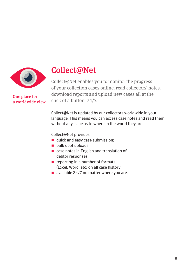

a worldwide view

#### Collect@Net

Collect@Net enables you to monitor the progress of your collection cases online, read collectors' notes, download reports and upload new cases all at the **One place for click of a button, 24/7.**<br>a worldwide view **click of a button**, 24/7.

> Collect@Net is updated by our collectors worldwide in your language. This means you can access case notes and read them without any issue as to where in the world they are.

Collect@Net provides:

- quick and easy case submission;
- bulk debt uploads:
- case notes in English and translation of debtor responses;
- reporting in a number of formats (Excel, Word, etc) on all case history;
- available 24/7 no matter where you are.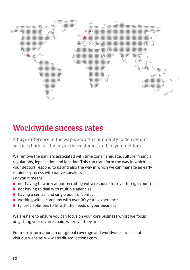

#### Worldwide success rates

A huge difference in the way we work is our ability to deliver our services both locally to you the customer, and, to your debtors.

We remove the barriers associated with time zone, language, culture, financial regulations, legal action and location. This can transform the way in which your debtors respond to us and also the way in which we can manage an early reminder process with native speakers.

For you it means:

- not having to worry about recruiting extra resource to cover foreign countries,
- $\blacksquare$  not having to deal with multiple agencies,
- having a central and single point of contact
- working with a company with over 90 years' experience
- $\blacksquare$  tailored solutions to fit with the needs of your business

We are here to ensure you can focus on your core business whilst we focus on getting your invoices paid, wherever they are.

For more information on our global coverage and worldwide success rates visit our website: www.atradiuscollections.com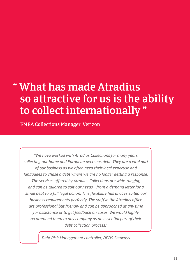# " What has made Atradius so attractive for us is the ability to collect internationally "

EMEA Collections Manager, Verizon

*"We have worked with Atradius Collections for many years collecting our home and European overseas debt. They are a vital part of our business as we often need their local expertise and languages to chase a debt where we are no longer getting a response. The services offered by Atradius Collections are wide-ranging and can be tailored to suit our needs - from a demand letter for a small debt to a full legal action. This flexibility has always suited our business requirements perfectly. The staff in the Atradius office are professional but friendly and can be approached at any time for assistance or to get feedback on cases. We would highly recommend them to any company as an essential part of their debt collection process."*

*Debt Risk Management controller, DFDS Seaways*